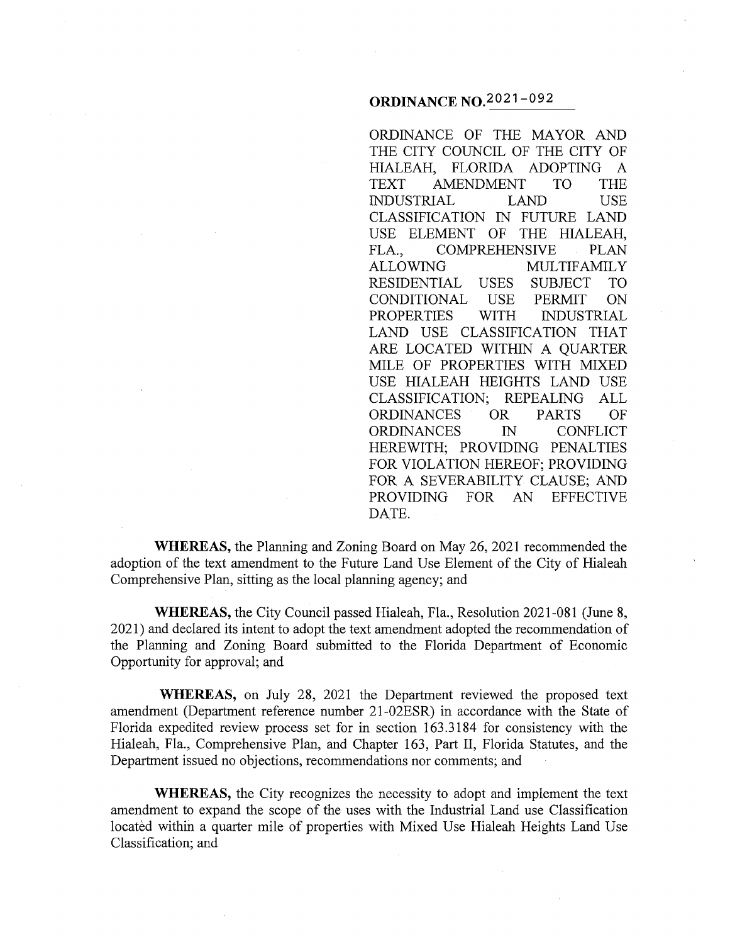## **ORDINANCE No.2021-092**

ORDINANCE OF THE MAYOR AND THE CITY COUNCIL OF THE CITY OF HIALEAH, FLORIDA ADOPTING A TEXT AMENDMENT TO THE INDUSTRIAL LAND USE CLASSIFICATION IN FUTURE LAND USE ELEMENT OF THE HIALEAH, FLA., COMPREHENSIVE PLAN ALLOWING MULTIFAMILY RESIDENTIAL USES SUBJECT TO CONDITIONAL USE PERMIT ON PROPERTIES WITH INDUSTRIAL LAND USE CLASSIFICATION THAT ARE LOCATED WITHIN A QUARTER MILE OF PROPERTIES WITH MIXED USE HIALEAH HEIGHTS LAND USE CLASSIFICATION; REPEALING ALL ORDINANCES OR PARTS OF ORDINANCES IN CONFLICT HEREWITH; PROVIDING PENALTIES FOR VIOLATION HEREOF; PROVIDING FOR A SEVERABILITY CLAUSE; AND PROVIDING FOR AN EFFECTIVE DATE.

**WHEREAS,** the Planning and Zoning Board on May 26, 2021 recommended the adoption of the text amendment to the Future Land Use Element of the City of Hialeah Comprehensive Plan, sitting as the local planning agency; and

**WHEREAS,** the City Council passed Hialeah, Fla., Resolution 2021-081 (June 8, 2021) and declared its intent to adopt the text amendment adopted the recommendation of the Planning and Zoning Board submitted to the Florida Department of Economic Opportunity for approval; and

**WHEREAS,** on July 28, 2021 the Department reviewed the proposed text amendment (Department reference number 21-02ESR) in accordance with the State of Florida expedited review process set for in section 163 .3184 for consistency with the Hialeah, Fla., Comprehensive Plan, and Chapter 163, Part II, Florida Statutes, and the Department issued no objections, recommendations nor comments; and

**WHEREAS,** the City recognizes the necessity to adopt and implement the text amendment to expand the scope of the uses with the Industrial Land use Classification located within a quarter mile of properties with Mixed Use Hialeah Heights Land Use Classification; and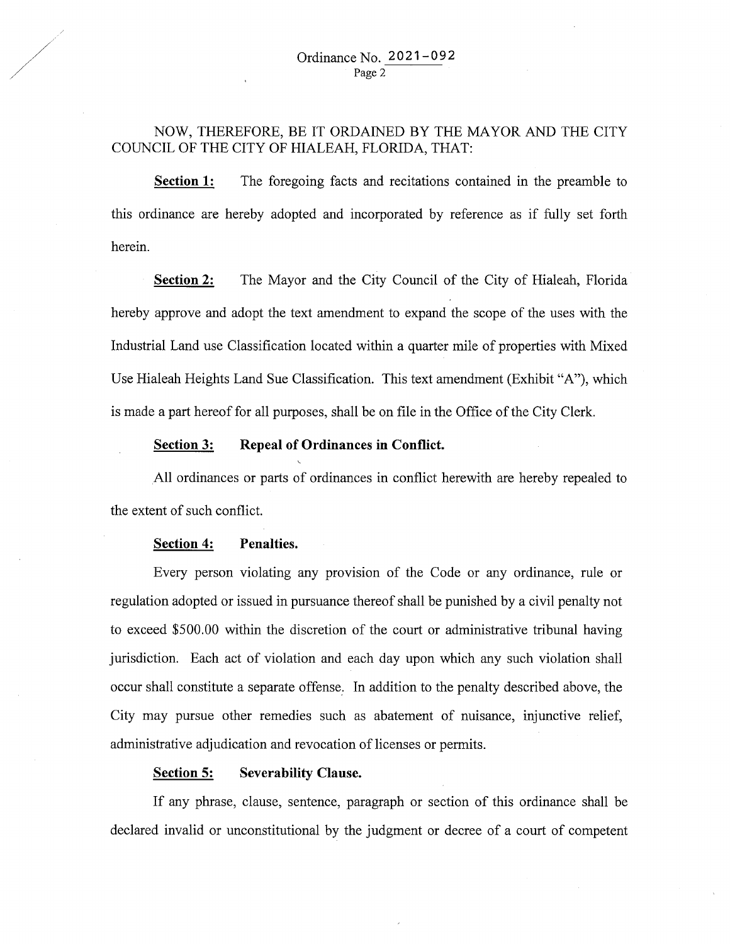## NOW, THEREFORE, BE IT ORDAINED BY THE MAYOR AND THE CITY COUNCIL OF THE CITY OF HIALEAH, FLORIDA, THAT:

**Section 1:** The foregoing facts and recitations contained in the preamble to this ordinance are hereby adopted and incorporated by reference as if fully set forth herein.

**Section 2:** The Mayor and the City Council of the City of Hialeah, Florida hereby approve and adopt the text amendment to expand the scope of the uses with the Industrial Land use Classification located within a quarter mile of properties with Mixed Use Hialeah Heights Land Sue Classification. This text amendment (Exhibit "A"), which is made a part hereof for all purposes, shall be on file in the Office of the City Clerk.

#### **<u>Section 3:</u>** Repeal of Ordinances in Conflict.

. All ordinances or parts of ordinances in conflict herewith are hereby repealed to the extent of such conflict.

#### **Section 4: Penalties.**

Every person violating any provision of the Code or any ordinance, rule or regulation adopted or issued in pursuance thereof shall be punished by a civil penalty not to exceed \$500.00 within the discretion of the court or administrative tribunal having jurisdiction. Each act of violation and each day upon which any such violation shall occur shall constitute a separate offense: In addition to the penalty described above, the City may pursue other remedies such as abatement of nuisance, injunctive relief, administrative adjudication and revocation of licenses or permits.

#### **Section 5: Severability Clause.**

If any phrase, clause, sentence, paragraph or section of this ordinance shall be declared invalid or unconstitutional by the judgment or decree of a court of competent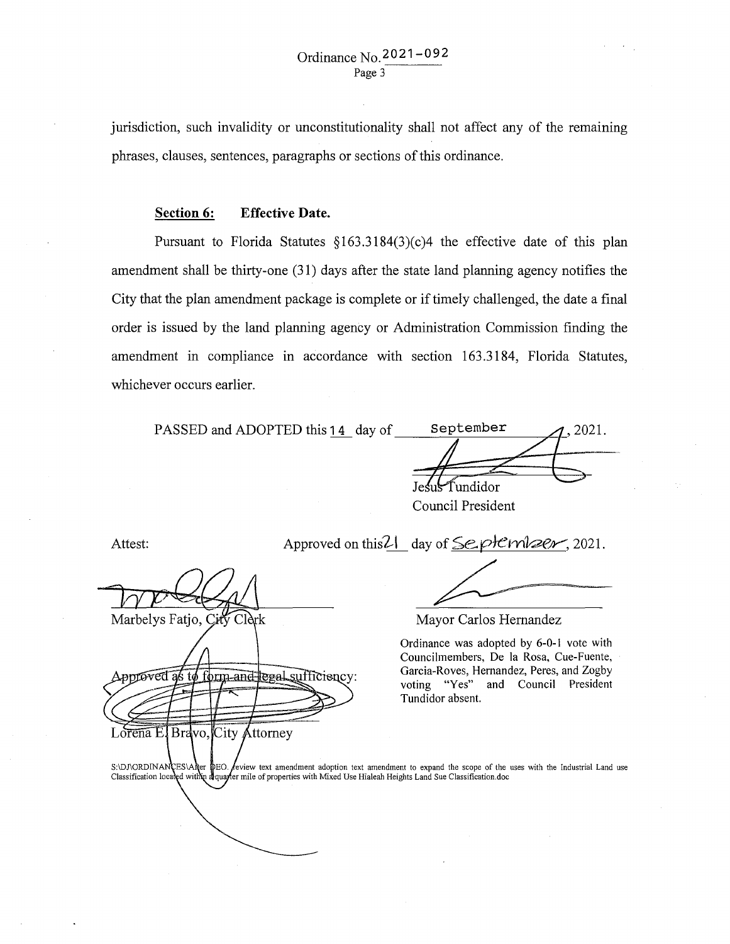jurisdiction, such invalidity or unconstitutionality shall not affect any of the remaining phrases, clauses, sentences, paragraphs or sections of this ordinance.

#### **Section 6: Effective Date.**

Pursuant to Florida Statutes §163.3184(3)(c)4 the effective date of this plan amendment shall be thirty-one (31) days after the state land planning agency notifies the City that the plan amendment package is complete or if timely challenged, the date a final order is issued by the land planning agency or Administration Commission finding the amendment in compliance in accordance with section 163 .3184, Florida Statutes, whichever occurs earlier.

| PASSED and ADOPTED this 14 day of | September      | 2021. |
|-----------------------------------|----------------|-------|
|                                   |                |       |
|                                   |                |       |
|                                   | Jesus Tundidor |       |

Council President

Attest:

Marbelys Fatio, C

vəntəved as

Lorena E.

Clàrk

Bravo, City Attorney

orm and legal sufficiency:

Approved on this 2 day of Se. pH cm  $\geq$ er, 2021.

Mayor Carlos Hernandez

Ordinance was adopted by 6-0-1 vote with Councilmembers, De la Rosa, Cue-Fuente, Garcia-Roves, Hernandez, Peres, and Zogby voting "Yes" and Council President Tundidor absent.

feview text amendment adoption text amendment to expand the scope of the uses with the Industrial Land use S:\DJ\ORDINANCES\After DEO. Seview text amendment adoption text amendment to expand the scope of the Classification.doc<br>Classification located with a dquarter mile of properties with Mixed Use Hialeah Heights Land Sue Clas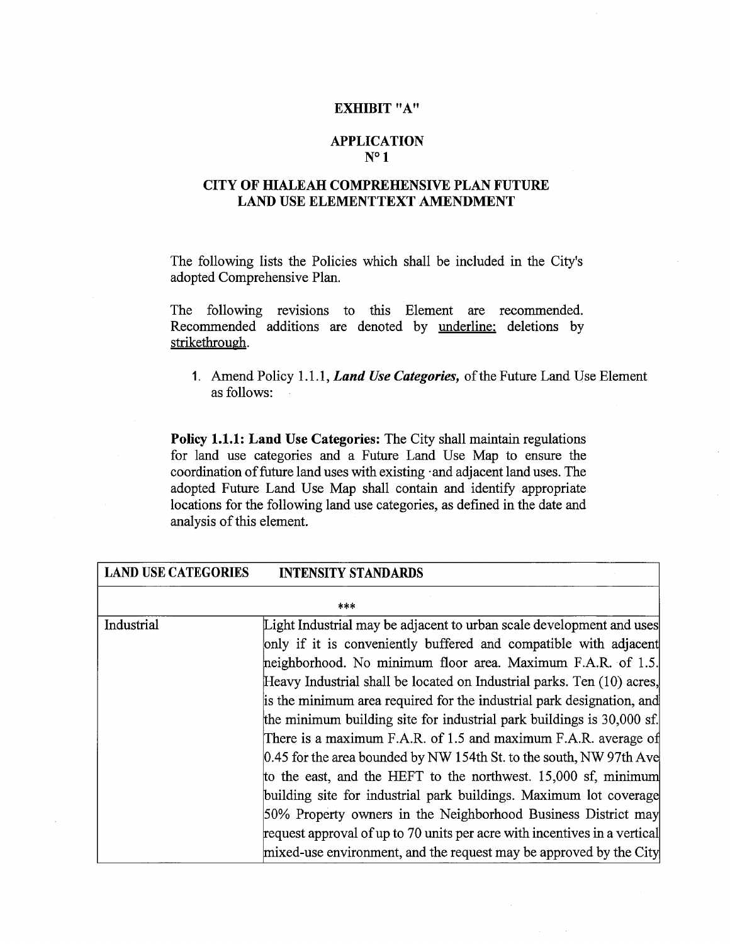#### EXHIBIT "A"

#### APPLICATION N°1

### CITY OF HIALEAH COMPREHENSIVE PLAN FUTURE LAND USE ELEMENTTEXT AMENDMENT

The following lists the Policies which shall be included in the City's adopted Comprehensive Plan.

The following revisions to this Element are recommended. Recommended additions are denoted by underline: deletions by strikethrough.

1. Amend Policy 1.1.1, *Land Use Categories,* of the Future Land Use Element as follows:

Policy 1.1.1: Land Use Categories: The City shall maintain regulations for land use categories and a Future Land Use Map to ensure the coordination of future land uses with existing ·and adjacent land uses. The adopted Future Land Use Map shall contain and identify appropriate locations for the following land use categories, as defined in the date and analysis of this element.

LAND USE CATEGORIES INTERIORS STANDARDS

| LAND USE CATEGONIES | INTENSITY STANDAKDS                                                       |  |
|---------------------|---------------------------------------------------------------------------|--|
|                     | ***                                                                       |  |
| Industrial          | Light Industrial may be adjacent to urban scale development and uses      |  |
|                     | only if it is conveniently buffered and compatible with adjacent          |  |
|                     | heighborhood. No minimum floor area. Maximum F.A.R. of 1.5.               |  |
|                     | Heavy Industrial shall be located on Industrial parks. Ten (10) acres,    |  |
|                     | is the minimum area required for the industrial park designation, and     |  |
|                     | the minimum building site for industrial park buildings is 30,000 sf.     |  |
|                     | There is a maximum F.A.R. of 1.5 and maximum F.A.R. average of            |  |
|                     | 0.45 for the area bounded by NW 154th St. to the south, NW 97th Ave       |  |
|                     | to the east, and the HEFT to the northwest. 15,000 sf, minimum            |  |
|                     | building site for industrial park buildings. Maximum lot coverage         |  |
|                     | 50% Property owners in the Neighborhood Business District may             |  |
|                     | request approval of up to 70 units per acre with incentives in a vertical |  |
|                     | mixed-use environment, and the request may be approved by the City        |  |